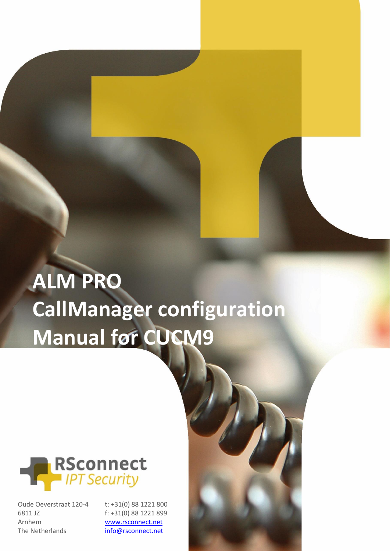# **ALM PRO CallManager configuration Manual for CUCM9**



Oude Oeverstraat 120-4 6811 JZ Arnhem The Netherlands

t: +31(0) 88 1221 800 f: +31(0) 88 1221 899 [www.rsconnect.net](http://www.rsconnect.net/)

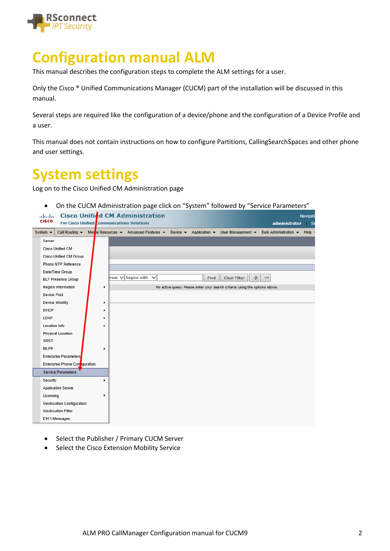

# **Configuration manual ALM**

This manual describes the configuration steps to complete the ALM settings for a user.

Only the Cisco ® Unified Communications Manager (CUCM) part of the installation will be discussed in this manual.

Several steps are required like the configuration of a device/phone and the configuration of a Device Profile and a user.

This manual does not contain instructions on how to configure Partitions, CallingSearchSpaces and other phone and user settings.

#### **System settings**

Log on to the Cisco Unified CM Administration page

• On the CUCM Administration page click on "System" followed by "Service Parameters"

|                             | abab.<br><b>CISCO</b>                                                                                                                                                                                   | <b>For Cisco Unified Communications Solutions</b> |  |             |                             | <b>Cisco Unified CM Administration</b>                                                                                                                                                                               |      |              |                                                                             |                              |  | administrator         | Navigati<br>∣ Se   |  |
|-----------------------------|---------------------------------------------------------------------------------------------------------------------------------------------------------------------------------------------------------|---------------------------------------------------|--|-------------|-----------------------------|----------------------------------------------------------------------------------------------------------------------------------------------------------------------------------------------------------------------|------|--------------|-----------------------------------------------------------------------------|------------------------------|--|-----------------------|--------------------|--|
| System $\blacktriangledown$ |                                                                                                                                                                                                         |                                                   |  |             |                             | Call Routing $\blacktriangleright$ Meda Resources $\blacktriangleright$ Advanced Features $\blacktriangleright$ Device $\blacktriangleright$ Application $\blacktriangleright$ User Management $\blacktriangleright$ |      |              |                                                                             |                              |  | Bulk Administration v | $Help \rightarrow$ |  |
|                             | Server                                                                                                                                                                                                  |                                                   |  |             |                             |                                                                                                                                                                                                                      |      |              |                                                                             |                              |  |                       |                    |  |
|                             |                                                                                                                                                                                                         | Cisco Unified CM                                  |  |             |                             |                                                                                                                                                                                                                      |      |              |                                                                             |                              |  |                       |                    |  |
|                             |                                                                                                                                                                                                         | Cisco Unified CM Group                            |  |             |                             |                                                                                                                                                                                                                      |      |              |                                                                             |                              |  |                       |                    |  |
|                             |                                                                                                                                                                                                         |                                                   |  |             |                             |                                                                                                                                                                                                                      |      |              |                                                                             |                              |  |                       |                    |  |
|                             | Phone NTP Reference<br>Date/Time Group<br><b>BLF Presence Group</b><br>Region Information<br>٠<br>Device Pool                                                                                           |                                                   |  |             |                             |                                                                                                                                                                                                                      |      |              |                                                                             |                              |  |                       |                    |  |
|                             |                                                                                                                                                                                                         |                                                   |  | $ress \vee$ | begins with<br>$\checkmark$ |                                                                                                                                                                                                                      | Find | Clear Filter | ÷                                                                           | $\qquad \qquad \blacksquare$ |  |                       |                    |  |
|                             | Device Mobility<br>١<br>DHCP<br>٠                                                                                                                                                                       |                                                   |  |             |                             |                                                                                                                                                                                                                      |      |              | No active query. Please enter your search criteria using the options above. |                              |  |                       |                    |  |
|                             |                                                                                                                                                                                                         |                                                   |  |             |                             |                                                                                                                                                                                                                      |      |              |                                                                             |                              |  |                       |                    |  |
|                             |                                                                                                                                                                                                         |                                                   |  |             |                             |                                                                                                                                                                                                                      |      |              |                                                                             |                              |  |                       |                    |  |
|                             |                                                                                                                                                                                                         |                                                   |  |             |                             |                                                                                                                                                                                                                      |      |              |                                                                             |                              |  |                       |                    |  |
|                             | LDAP                                                                                                                                                                                                    |                                                   |  | ٠           |                             |                                                                                                                                                                                                                      |      |              |                                                                             |                              |  |                       |                    |  |
|                             | Location Info                                                                                                                                                                                           |                                                   |  | ٠           |                             |                                                                                                                                                                                                                      |      |              |                                                                             |                              |  |                       |                    |  |
|                             |                                                                                                                                                                                                         | <b>Physical Location</b>                          |  |             |                             |                                                                                                                                                                                                                      |      |              |                                                                             |                              |  |                       |                    |  |
|                             | <b>SRST</b>                                                                                                                                                                                             |                                                   |  |             |                             |                                                                                                                                                                                                                      |      |              |                                                                             |                              |  |                       |                    |  |
|                             | MLPP                                                                                                                                                                                                    |                                                   |  | ١           |                             |                                                                                                                                                                                                                      |      |              |                                                                             |                              |  |                       |                    |  |
|                             |                                                                                                                                                                                                         |                                                   |  |             |                             |                                                                                                                                                                                                                      |      |              |                                                                             |                              |  |                       |                    |  |
|                             |                                                                                                                                                                                                         |                                                   |  |             |                             |                                                                                                                                                                                                                      |      |              |                                                                             |                              |  |                       |                    |  |
|                             |                                                                                                                                                                                                         |                                                   |  |             |                             |                                                                                                                                                                                                                      |      |              |                                                                             |                              |  |                       |                    |  |
|                             |                                                                                                                                                                                                         |                                                   |  | r           |                             |                                                                                                                                                                                                                      |      |              |                                                                             |                              |  |                       |                    |  |
|                             |                                                                                                                                                                                                         |                                                   |  |             |                             |                                                                                                                                                                                                                      |      |              |                                                                             |                              |  |                       |                    |  |
|                             |                                                                                                                                                                                                         |                                                   |  | ٠           |                             |                                                                                                                                                                                                                      |      |              |                                                                             |                              |  |                       |                    |  |
|                             |                                                                                                                                                                                                         |                                                   |  |             |                             |                                                                                                                                                                                                                      |      |              |                                                                             |                              |  |                       |                    |  |
|                             | Enterprise Parameters<br>Enterprise Phone Contiguration<br>Service Parameters<br>Security<br>Application Server<br>Licensing<br>Geolocation Configuration<br><b>Geolocation Filter</b><br>E911 Messages |                                                   |  |             |                             |                                                                                                                                                                                                                      |      |              |                                                                             |                              |  |                       |                    |  |
|                             |                                                                                                                                                                                                         |                                                   |  |             |                             |                                                                                                                                                                                                                      |      |              |                                                                             |                              |  |                       |                    |  |

- Select the Publisher / Primary CUCM Server
- Select the Cisco Extension Mobility Service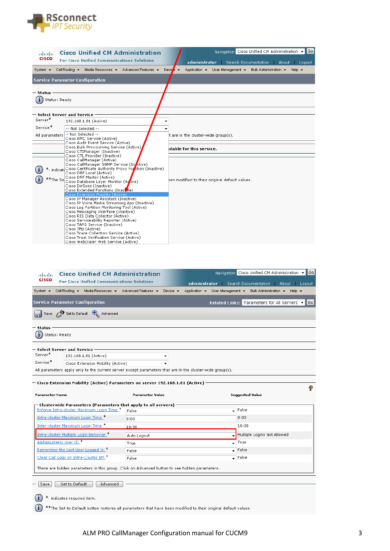

| ahaha                        | <b>Cisco Unified CM Administration</b>                                                                                                    | Navigation Cisco Unified CM Administration v<br><b>Gol</b>                                               |
|------------------------------|-------------------------------------------------------------------------------------------------------------------------------------------|----------------------------------------------------------------------------------------------------------|
| <b>CISCO</b>                 | <b>For Cisco Unified Communications Solutions</b>                                                                                         | administrator Search Documentation<br>About Logout                                                       |
| System $\blacktriangleright$ | Call Routing v Media Resources v Advanced Features v                                                                                      | Application $\star$ User Management $\star$ Bulk Administration $\star$ Help $\star$<br>Device $\bullet$ |
|                              | <b>Service Parameter Configuration</b>                                                                                                    |                                                                                                          |
| — Status                     |                                                                                                                                           |                                                                                                          |
| $(i)$ Status: Ready          |                                                                                                                                           |                                                                                                          |
|                              | $-$ Select Server and Service $\cdot$                                                                                                     |                                                                                                          |
| Server*                      | 192.168.1.81 (Active)                                                                                                                     |                                                                                                          |
| Service*                     | -- Not Selected --                                                                                                                        |                                                                                                          |
| All parameters               | -- Not Selected --<br>Cisco AMC Service (Active)                                                                                          | t are in the cluster-wide $qroup(s)$ .                                                                   |
|                              | Cisco Audit Event Service (Active)<br>Cisco Bulk Provisioning Service (Active)<br>Cisco CTIManager (Inactive)                             | ilable for this service.                                                                                 |
|                              | Cisco CTL Provider (Inactive)<br>Cisco CallManager (Active)                                                                               |                                                                                                          |
|                              | Cisco CallManager SNMP Service (In ctive)<br>*- indicat Cisco Certificate Authority Proxy Function (Inactive)<br>Cisco DRF Local (Active) |                                                                                                          |
|                              | Cisco DRF Master (Active)<br>*The Section Database Layer Monitor (Agrive)                                                                 | een modified to their original default values.                                                           |
|                              | Cisco DirSync (Inactive)<br>Cisco Extended Functions (Inactive)                                                                           |                                                                                                          |
|                              | Cisco Extension Mobility (Active)<br>Cisco IP Manager Assistant (Inactive)<br>Cisco IP Voice Media Streaming App (Inactive)               |                                                                                                          |
|                              | Cisco Log Partition Monitoring Tool (Active)<br>Cisco Messaging Interface (Inactive)                                                      |                                                                                                          |
|                              | Cisco RIS Data Collector (Active)                                                                                                         |                                                                                                          |
|                              | Cisco Serviceability Reporter (Active)<br>Cisco TAPS Service (Inactive)                                                                   |                                                                                                          |
|                              | Cisco Tftp (Active)<br>Cisco Trace Collection Service (Active)                                                                            |                                                                                                          |
|                              | Cisco Trust Verification Service (Active)<br>Cisco WebDialer Web Service (Active)                                                         |                                                                                                          |

| <b>Cisco Unified CM Administration</b><br>ahaha                                                          |                        |                             | Navigation Cisco Unified CM Administration v                                         | Go                 |
|----------------------------------------------------------------------------------------------------------|------------------------|-----------------------------|--------------------------------------------------------------------------------------|--------------------|
| <b>CISCO</b><br><b>For Cisco Unified Communications Solutions</b>                                        |                        |                             | administrator Search Documentation   About Logout                                    |                    |
| Call Routing $\star$ Media Resources $\star$ Advanced Features $\star$<br>System $\blacktriangleright$   |                        | Device $\blacktriangledown$ | Application $\star$ User Management $\star$ Bulk Administration $\star$ Help $\star$ |                    |
| <b>Service Parameter Configuration</b>                                                                   |                        |                             | Related Links: Parameters for All Servers ▼                                          | $\vert$ Go $\vert$ |
| Save <b>P</b> Set to Default <b>C</b> Advanced                                                           |                        |                             |                                                                                      |                    |
| — Status                                                                                                 |                        |                             |                                                                                      |                    |
| Status: Ready                                                                                            |                        |                             |                                                                                      |                    |
| $-$ Select Server and Service $\,$                                                                       |                        |                             |                                                                                      |                    |
| Server <sup>*</sup><br>192.168.1.81 (Active)                                                             |                        |                             |                                                                                      |                    |
| Service*<br>Cisco Extension Mobility (Active)                                                            |                        |                             |                                                                                      |                    |
| All parameters apply only to the current server except parameters that are in the cluster-wide group(s). |                        |                             |                                                                                      |                    |
|                                                                                                          |                        |                             |                                                                                      |                    |
| — Cisco Extension Mobility (Active) Parameters on server 192.168.1.81 (Active) $\cdot$                   |                        |                             |                                                                                      |                    |
|                                                                                                          |                        |                             |                                                                                      |                    |
| Parameter Name                                                                                           | <b>Parameter Value</b> |                             | <b>Suggested Value</b>                                                               | 9                  |
| Clusterwide Parameters (Parameters that apply to all servers)                                            |                        |                             |                                                                                      |                    |
| Enforce Intra-cluster Maximum Login Time. *                                                              | False                  |                             | $\overline{\phantom{a}}$ False                                                       |                    |
| Intra-cluster Maximum Login Time.*                                                                       | 8:00                   |                             | 8:00                                                                                 |                    |
| Inter-cluster Maximum Login Time                                                                         | 10:00                  |                             | 10:00                                                                                |                    |
| Intra-cluster Multiple Login Behavior *                                                                  | Auto Logout            |                             | Multiple Logins Not Allowed                                                          |                    |
| Alphanumeric User ID <sup>*</sup>                                                                        | True                   |                             | True<br>٠                                                                            |                    |
| Remember the Last User Logged In *                                                                       | False                  |                             | False                                                                                |                    |
| Clear Call Logs on Intra-Cluster EM *                                                                    | False                  |                             | $\overline{\phantom{a}}$ False                                                       |                    |
|                                                                                                          |                        |                             |                                                                                      |                    |
| There are hidden parameters in this group. Click on Advanced button to see hidden parameters.            |                        |                             |                                                                                      |                    |
|                                                                                                          |                        |                             |                                                                                      |                    |
| Save<br>Set to Default<br>Advanced                                                                       |                        |                             |                                                                                      |                    |
|                                                                                                          |                        |                             |                                                                                      |                    |
| *- indicates required item.                                                                              |                        |                             |                                                                                      |                    |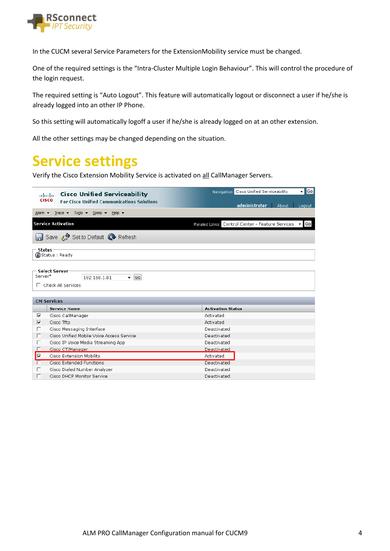

In the CUCM several Service Parameters for the ExtensionMobility service must be changed.

One of the required settings is the "Intra-Cluster Multiple Login Behaviour". This will control the procedure of the login request.

The required setting is "Auto Logout". This feature will automatically logout or disconnect a user if he/she is already logged into an other IP Phone.

So this setting will automatically logoff a user if he/she is already logged on at an other extension.

All the other settings may be changed depending on the situation.

### **Service settings**

Verify the Cisco Extension Mobility Service is activated on all CallManager Servers.

| ahaha        | <b>Cisco Unified Serviceability</b>                                 | Go <br>Navigation Cisco Unified Serviceability<br>▾                            |  |  |  |  |  |  |  |
|--------------|---------------------------------------------------------------------|--------------------------------------------------------------------------------|--|--|--|--|--|--|--|
| <b>CISCO</b> | <b>For Cisco Unified Communications Solutions</b>                   |                                                                                |  |  |  |  |  |  |  |
|              |                                                                     | administrator<br>About<br>Logout                                               |  |  |  |  |  |  |  |
|              | Alarm $\star$ Trace $\star$ Tools $\star$ Snmp $\star$ Help $\star$ |                                                                                |  |  |  |  |  |  |  |
|              | <b>Service Activation</b>                                           | Related Links: Control Center - Feature Services<br>Go<br>$\blacktriangledown$ |  |  |  |  |  |  |  |
|              | Save <b>P</b> Set to Default <b>Q</b> Refresh                       |                                                                                |  |  |  |  |  |  |  |
| - Status     | <b>B</b> Status: Ready                                              |                                                                                |  |  |  |  |  |  |  |
|              |                                                                     |                                                                                |  |  |  |  |  |  |  |
|              |                                                                     |                                                                                |  |  |  |  |  |  |  |
| Server*      | <b>Select Server</b>                                                |                                                                                |  |  |  |  |  |  |  |
|              | $\overline{\phantom{a}}$ Go<br>192.168.1.81                         |                                                                                |  |  |  |  |  |  |  |
|              | $\Box$ Check All Services                                           |                                                                                |  |  |  |  |  |  |  |
|              |                                                                     |                                                                                |  |  |  |  |  |  |  |
|              | <b>CM Services</b>                                                  |                                                                                |  |  |  |  |  |  |  |
|              | <b>Service Name</b>                                                 | <b>Activation Status</b>                                                       |  |  |  |  |  |  |  |
| ⊽            | Cisco CallManager                                                   | Activated                                                                      |  |  |  |  |  |  |  |
| ⊽            | Cisco Tftp                                                          | Activated                                                                      |  |  |  |  |  |  |  |
| г            | Cisco Messaging Interface                                           | Deactivated                                                                    |  |  |  |  |  |  |  |
| п            | Cisco Unified Mobile Voice Access Service                           | Deactivated                                                                    |  |  |  |  |  |  |  |
| п            | Cisco IP Voice Media Streaming App                                  | Deactivated                                                                    |  |  |  |  |  |  |  |
| г            | Cisco CTIManager                                                    | Deactivated                                                                    |  |  |  |  |  |  |  |
| ⊽            | Cisco Extension Mobility                                            | Activated                                                                      |  |  |  |  |  |  |  |
|              | <b>Cisco Extended Functions</b>                                     | Deactivated                                                                    |  |  |  |  |  |  |  |
| г            | Cisco Dialed Number Analyzer                                        | Deactivated                                                                    |  |  |  |  |  |  |  |
|              | Cisco DHCP Monitor Service                                          | Deactivated                                                                    |  |  |  |  |  |  |  |
|              |                                                                     |                                                                                |  |  |  |  |  |  |  |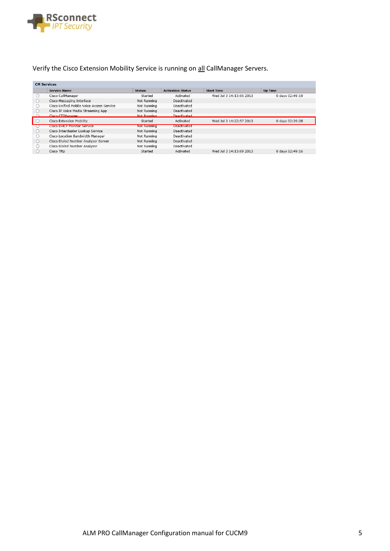

#### Verify the Cisco Extension Mobility Service is running on all CallManager Servers.

| <b>CM Services</b> |                                           |             |                          |                         |                 |
|--------------------|-------------------------------------------|-------------|--------------------------|-------------------------|-----------------|
|                    | <b>Service Name</b>                       | Status:     | <b>Activation Status</b> | <b>Start Time</b>       | <b>Up Time</b>  |
|                    | Cisco CallManager                         | Started     | Activated                | Wed Jul 3 14:13:06 2013 | 0 days 02:49:19 |
|                    | Cisco Messaging Interface                 | Not Running | Deactivated              |                         |                 |
|                    | Cisco Unified Mobile Voice Access Service | Not Running | Deactivated              |                         |                 |
|                    | Cisco IP Voice Media Streaming App        | Not Running | Deactivated              |                         |                 |
|                    | Cisco CTIManager                          | Not Running | heartivated              |                         |                 |
|                    | Cisco Extension Mobility                  | Started     | Activated                | Wed Jul 3 14:22:57 2013 | 0 days 02:39:28 |
|                    | <b>CISCO DHCP Monitor Service</b>         | Not Running | Deactivated              |                         |                 |
| $\cup$             | Cisco Intercluster Lookup Service         | Not Running | Deactivated              |                         |                 |
| ( )                | Cisco Location Bandwidth Manager          | Not Running | Deactivated              |                         |                 |
| $\left( \right)$   | Cisco Dialed Number Analyzer Server       | Not Running | Deactivated              |                         |                 |
| ( )                | Cisco Dialed Number Analyzer              | Not Running | Deactivated              |                         |                 |
|                    | Cisco Tftp                                | Started     | Activated                | Wed Jul 3 14:13:09 2013 | 0 days 02:49:16 |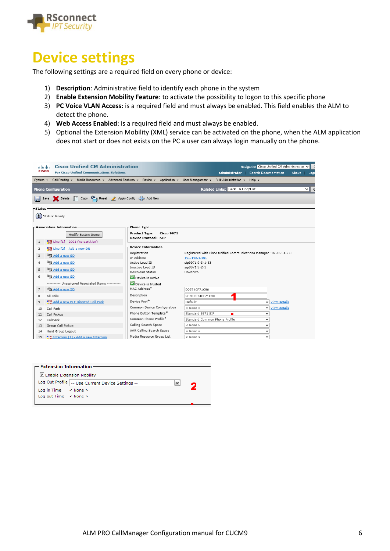

#### **Device settings**

The following settings are a required field on every phone or device:

- 1) **Description**: Administrative field to identify each phone in the system
- 2) **Enable Extension Mobility Feature**: to activate the possibility to logon to this specific phone
- 3) **PC Voice VLAN Access:** is a required field and must always be enabled. This field enables the ALM to detect the phone.
- 4) **Web Access Enabled**: is a required field and must always be enabled.
- 5) Optional the Extension Mobility (XML) service can be activated on the phone, when the ALM application does not start or does not exists on the PC a user can always login manually on the phone.

| ahaha<br><b>CISCO</b>        | <b>Cisco Unified CM Administration</b><br><b>For Cisco Unified Communications Solutions</b>                                |                                                                          | administrator                                                                       | Navigation Cisco Unified CM Administration V<br>Search Documentation   About   Logo |  |  |  |  |  |  |  |  |  |
|------------------------------|----------------------------------------------------------------------------------------------------------------------------|--------------------------------------------------------------------------|-------------------------------------------------------------------------------------|-------------------------------------------------------------------------------------|--|--|--|--|--|--|--|--|--|
| System $\blacktriangleright$ | Call Routing ▼ Media Resources ▼ Advanced Features ▼ Device ▼ Application ▼ User Management ▼ Bulk Administration ▼ Help ▼ |                                                                          |                                                                                     |                                                                                     |  |  |  |  |  |  |  |  |  |
|                              | <b>Phone Configuration</b>                                                                                                 |                                                                          | Related Links: Back To Find/List                                                    | $\vee$ $\parallel$ G                                                                |  |  |  |  |  |  |  |  |  |
| H                            | Save Selete C Copy C Reset 2 Apply Config C Add New                                                                        |                                                                          |                                                                                     |                                                                                     |  |  |  |  |  |  |  |  |  |
|                              | - Status<br>$(i)$ Status: Ready                                                                                            |                                                                          |                                                                                     |                                                                                     |  |  |  |  |  |  |  |  |  |
|                              | – Association Information                                                                                                  | Phone Type-                                                              |                                                                                     |                                                                                     |  |  |  |  |  |  |  |  |  |
|                              | Modify Button Items                                                                                                        | <b>Product Type:</b><br><b>Cisco 9971</b><br><b>Device Protocol: SIP</b> |                                                                                     |                                                                                     |  |  |  |  |  |  |  |  |  |
| $1\,$                        | $\frac{1778}{278}$ Line [1] - 2001 (no partition)                                                                          |                                                                          |                                                                                     |                                                                                     |  |  |  |  |  |  |  |  |  |
| $\overline{\mathbf{2}}$      | $\frac{1773}{279}$ Line [2] - Add a new DN                                                                                 | -Device Information                                                      |                                                                                     |                                                                                     |  |  |  |  |  |  |  |  |  |
| 3                            | Add a new SD                                                                                                               | Registration<br>IP Address                                               | Registered with Cisco Unified Communications Manager 192.168.1.228<br>192.168.1.101 |                                                                                     |  |  |  |  |  |  |  |  |  |
| 4                            | Add a new SD                                                                                                               | Active Load ID                                                           | sip9971.9-3-1-33                                                                    |                                                                                     |  |  |  |  |  |  |  |  |  |
|                              | Add a new SD                                                                                                               | Inactive Load ID                                                         | sip9971.9-2-1                                                                       |                                                                                     |  |  |  |  |  |  |  |  |  |
| 5                            |                                                                                                                            | <b>Download Status</b>                                                   | Unknown                                                                             |                                                                                     |  |  |  |  |  |  |  |  |  |
| 6                            | Add a new SD                                                                                                               | Device is Active                                                         |                                                                                     |                                                                                     |  |  |  |  |  |  |  |  |  |
|                              | ---------- Unassigned Associated Items ----------                                                                          | Device is trusted                                                        |                                                                                     |                                                                                     |  |  |  |  |  |  |  |  |  |
| $\overline{7}$               | Add a new SD                                                                                                               | MAC Address <sup>*</sup>                                                 | D0574CF71C90                                                                        |                                                                                     |  |  |  |  |  |  |  |  |  |
| 8                            | All Calls                                                                                                                  | Description                                                              | SEPD0574CF71C90                                                                     |                                                                                     |  |  |  |  |  |  |  |  |  |
| 9                            | <b>MARK</b> And a new BLF Directed Call Park                                                                               | Device Pool*                                                             | Default                                                                             | <b>V</b> View Details                                                               |  |  |  |  |  |  |  |  |  |
| 10                           | Call Park                                                                                                                  | Common Device Configuration                                              | $<$ None $>$                                                                        | V View Details                                                                      |  |  |  |  |  |  |  |  |  |
| 11                           | Call Pickup                                                                                                                | Phone Button Template*                                                   | Standard 9971 SIP                                                                   | $\checkmark$                                                                        |  |  |  |  |  |  |  |  |  |
| 12                           | CallBack                                                                                                                   | Common Phone Profile*                                                    | Standard Common Phone Profile                                                       | $\checkmark$                                                                        |  |  |  |  |  |  |  |  |  |
| 13                           | Group Call Pickup                                                                                                          | Calling Search Space                                                     | $<$ None $>$                                                                        | $\checkmark$                                                                        |  |  |  |  |  |  |  |  |  |
| 14                           | Hunt Group Logout                                                                                                          | AAR Calling Search Space                                                 | $<$ None $>$                                                                        | $\checkmark$                                                                        |  |  |  |  |  |  |  |  |  |
| 15                           | $\frac{1}{2}$ Intercom [1] - Add a new Intercom                                                                            | Media Resource Group List                                                | $<$ None $>$                                                                        | ◡                                                                                   |  |  |  |  |  |  |  |  |  |

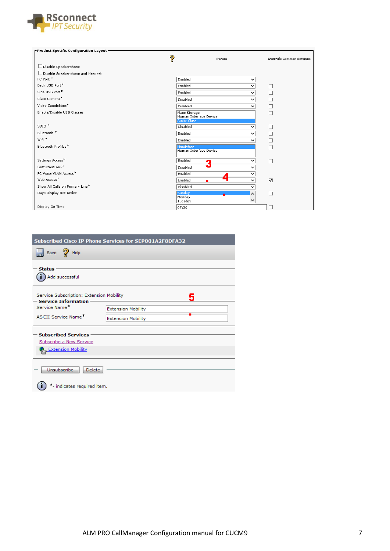

| $\Gamma$ Product Specific Configuration Layout – |                                                              |                                 |
|--------------------------------------------------|--------------------------------------------------------------|---------------------------------|
| ?                                                | Param                                                        | <b>Override Common Settings</b> |
| Disable Speakerphone                             |                                                              |                                 |
| □ Disable Speakerphone and Headset               |                                                              |                                 |
| PC Port *                                        | Enabled<br>$\checkmark$                                      |                                 |
| Back USB Port*                                   | Enabled<br>$\checkmark$                                      | □                               |
| Side USB Port*                                   | Enabled<br>$\checkmark$                                      | □                               |
| Cisco Camera*                                    | Disabled<br>$\checkmark$                                     | □                               |
| Video Capabilities*                              | Disabled<br>◡                                                | $\Box$                          |
| Enable/Disable USB Classes                       | Mass Storage<br>Human Interface Device<br><b>Audio Class</b> | П                               |
| $SDIO$ <sup>*</sup>                              | Disabled                                                     | □                               |
| Bluetooth <sup>*</sup>                           | Enabled<br>$\checkmark$                                      | $\Box$                          |
| Wifi *                                           | Enabled<br>$\checkmark$                                      |                                 |
| Bluetooth Profiles*                              | <b>Handsfree</b>                                             |                                 |
|                                                  | Human Interface Device                                       |                                 |
| Settings Access*                                 | Enabled<br>$\checkmark$                                      | П                               |
| Gratuitous ARP*                                  | Disabled<br>◡                                                |                                 |
| PC Voice VLAN Access*                            | Enabled                                                      |                                 |
| Web Access*                                      | Enabled                                                      | $\overline{\mathbf{v}}$         |
| Show All Calls on Primary Line*                  | Disabled                                                     |                                 |
| Days Display Not Active                          | Sunday<br>∧                                                  |                                 |
|                                                  | Monday<br>◡<br>Tuesday                                       |                                 |
| Display On Time                                  | 07:30                                                        |                                 |

| <b>Subscribed Cisco IP Phone Services for SEP001A2F8DFA32</b>          |                           |  |  |  |  |  |  |  |
|------------------------------------------------------------------------|---------------------------|--|--|--|--|--|--|--|
| $\int$ Save $\partial$ Help                                            |                           |  |  |  |  |  |  |  |
| <b>Status</b>                                                          |                           |  |  |  |  |  |  |  |
| Add successful                                                         |                           |  |  |  |  |  |  |  |
| Service Subscription: Extension Mobility<br><b>Service Information</b> |                           |  |  |  |  |  |  |  |
| Service Name*                                                          | <b>Extension Mobility</b> |  |  |  |  |  |  |  |
| <b>ASCII Service Name*</b>                                             | <b>Extension Mobility</b> |  |  |  |  |  |  |  |
| <b>Subscribed Services</b>                                             |                           |  |  |  |  |  |  |  |
| Subscribe a New Service                                                |                           |  |  |  |  |  |  |  |
| Extension Mobility                                                     |                           |  |  |  |  |  |  |  |
| Unsubscribe<br>Delete                                                  |                           |  |  |  |  |  |  |  |
|                                                                        |                           |  |  |  |  |  |  |  |
| *- indicates required item.                                            |                           |  |  |  |  |  |  |  |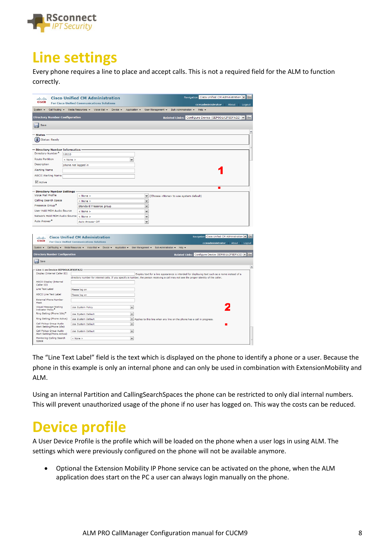

# **Line settings**

Every phone requires a line to place and accept calls. This is not a required field for the ALM to function correctly.

| ahaha                                                  |                     | <b>Cisco Unified CM Administration</b>                                                                                                                                     |             |             |                                                                                                |                |                       |             | Navigation Cisco Unified CM Administration V           |  | <b>Go</b>           |
|--------------------------------------------------------|---------------------|----------------------------------------------------------------------------------------------------------------------------------------------------------------------------|-------------|-------------|------------------------------------------------------------------------------------------------|----------------|-----------------------|-------------|--------------------------------------------------------|--|---------------------|
| <b>CISCO</b>                                           |                     | <b>For Cisco Unified Communications Solutions</b>                                                                                                                          |             |             |                                                                                                |                |                       |             | ccmadministrator About                                 |  | Logout              |
| System $\blacktriangledown$                            |                     | Call Routing v Media Resources v Voice Mail v Device v                                                                                                                     |             |             | Application v User Management v                                                                |                | Bulk Administration - | Help $\sim$ |                                                        |  |                     |
| <b>Directory Number Configuration</b>                  |                     |                                                                                                                                                                            |             |             |                                                                                                |                |                       |             | Related Links: Configure Device (SEP001A2F8DFA32) v    |  | Go                  |
| Save                                                   |                     |                                                                                                                                                                            |             |             |                                                                                                |                |                       |             |                                                        |  |                     |
|                                                        |                     |                                                                                                                                                                            |             |             |                                                                                                |                |                       |             |                                                        |  | ٨                   |
| - Status<br>G.<br><b>Status: Ready</b>                 |                     |                                                                                                                                                                            |             |             |                                                                                                |                |                       |             |                                                        |  |                     |
| - Directory Number Information                         |                     |                                                                                                                                                                            |             |             |                                                                                                |                |                       |             |                                                        |  |                     |
| Directory Number*                                      | 10110               |                                                                                                                                                                            |             |             |                                                                                                |                |                       |             |                                                        |  |                     |
| <b>Route Partition</b>                                 | $<$ None $>$        |                                                                                                                                                                            | $\check{~}$ |             |                                                                                                |                |                       |             |                                                        |  |                     |
| Description                                            | phone not logged in |                                                                                                                                                                            |             |             |                                                                                                |                |                       |             |                                                        |  |                     |
| <b>Alerting Name</b>                                   |                     |                                                                                                                                                                            |             |             |                                                                                                |                |                       |             |                                                        |  |                     |
| <b>ASCII Alerting Name</b>                             |                     |                                                                                                                                                                            |             |             |                                                                                                |                |                       |             |                                                        |  |                     |
| $\vee$ Active                                          |                     |                                                                                                                                                                            |             |             |                                                                                                |                |                       |             |                                                        |  |                     |
|                                                        |                     |                                                                                                                                                                            |             |             |                                                                                                |                |                       |             |                                                        |  |                     |
| - Directory Number Settings<br>Voice Mail Profile      |                     |                                                                                                                                                                            |             |             |                                                                                                |                |                       |             |                                                        |  |                     |
| Calling Search Space                                   |                     | $<$ None $>$<br>< None >                                                                                                                                                   |             | $\check{ }$ | v (Choose <none> to use system default)</none>                                                 |                |                       |             |                                                        |  |                     |
| Presence Group <sup>*</sup>                            |                     |                                                                                                                                                                            |             | $\check{ }$ |                                                                                                |                |                       |             |                                                        |  |                     |
| User Hold MOH Audio Source                             |                     | Standard Presence group                                                                                                                                                    |             | ٧           |                                                                                                |                |                       |             |                                                        |  |                     |
| Network Hold MOH Audio Source                          |                     | < None >                                                                                                                                                                   |             |             |                                                                                                |                |                       |             |                                                        |  |                     |
| Auto Answer <sup>**</sup>                              |                     | $\leq$ None $\geq$<br>Auto Answer Off                                                                                                                                      |             | ٧<br>v      |                                                                                                |                |                       |             |                                                        |  |                     |
|                                                        |                     |                                                                                                                                                                            |             |             |                                                                                                |                |                       |             |                                                        |  |                     |
|                                                        |                     |                                                                                                                                                                            |             |             |                                                                                                |                |                       |             |                                                        |  |                     |
| ahaha<br><b>CISCO</b>                                  |                     | <b>Cisco Unified CM Administration</b>                                                                                                                                     |             |             |                                                                                                |                |                       |             | Navigation Cisco Unified CM Administration v Go        |  |                     |
|                                                        |                     | <b>For Cisco Unified Communications Solutions</b><br>System v Call Routing v Media Resources v Voice Mail v Device v Application v User Management v Bulk Administration v |             |             |                                                                                                | $He$ lo $\sim$ |                       |             | ccmadministrator About Logout                          |  |                     |
|                                                        |                     |                                                                                                                                                                            |             |             |                                                                                                |                |                       |             |                                                        |  |                     |
| <b>Directory Number Configuration</b>                  |                     |                                                                                                                                                                            |             |             |                                                                                                |                |                       |             | Related Links: Configure Device (SEP001A2F8DFA32) v Go |  |                     |
| Save                                                   |                     |                                                                                                                                                                            |             |             |                                                                                                |                |                       |             |                                                        |  |                     |
| Line 1 on Device SEP001A2F8DFA32                       |                     |                                                                                                                                                                            |             |             |                                                                                                |                |                       |             |                                                        |  | $\hat{\phantom{a}}$ |
| Display (Internal Caller ID)                           |                     |                                                                                                                                                                            |             |             | Display text for a line appearance is intended for displaying text such as a name instead of a |                |                       |             |                                                        |  |                     |
|                                                        |                     | directory number for internal calls. If you specify a number, the person receiving a call may not see the proper identity of the caller.                                   |             |             |                                                                                                |                |                       |             |                                                        |  |                     |
| <b>ASCII Display (Internal</b><br>Caller ID)           |                     |                                                                                                                                                                            |             |             |                                                                                                |                |                       |             |                                                        |  |                     |
| Line Text Label                                        |                     | Please log on                                                                                                                                                              |             |             |                                                                                                |                |                       |             |                                                        |  |                     |
| <b>ASCII Line Text Label</b>                           |                     | Please log on                                                                                                                                                              |             |             |                                                                                                |                |                       |             |                                                        |  |                     |
| <b>External Phone Number</b><br>Mask                   |                     |                                                                                                                                                                            |             |             |                                                                                                |                |                       |             |                                                        |  |                     |
| Visual Message Waiting<br>Indicator Policy*            |                     | <b>Use System Policy</b>                                                                                                                                                   | $\check{ }$ |             |                                                                                                |                |                       |             |                                                        |  |                     |
| Ring Setting (Phone Idle)*                             |                     | Use System Default                                                                                                                                                         | $\check{ }$ |             |                                                                                                |                |                       |             |                                                        |  |                     |
| Ring Setting (Phone Active)                            |                     | <b>Use System Default</b>                                                                                                                                                  |             |             | M Applies to this line when any line on the phone has a call in progress.                      |                |                       |             |                                                        |  |                     |
| Call Pickup Group Audio                                |                     | <b>Use System Default</b>                                                                                                                                                  | $\check{ }$ |             |                                                                                                |                |                       |             |                                                        |  |                     |
| Alert Setting(Phone Idle)                              |                     |                                                                                                                                                                            |             |             |                                                                                                |                |                       |             |                                                        |  |                     |
| Call Pickup Group Audio<br>Alert Setting(Phone Active) |                     | Use System Default                                                                                                                                                         | $\check{ }$ |             |                                                                                                |                |                       |             |                                                        |  |                     |
| Monitoring Calling Search<br>Space                     |                     | < None >                                                                                                                                                                   | $\check{~}$ |             |                                                                                                |                |                       |             |                                                        |  |                     |

The "Line Text Label" field is the text which is displayed on the phone to identify a phone or a user. Because the phone in this example is only an internal phone and can only be used in combination with ExtensionMobility and ALM.

Using an internal Partition and CallingSearchSpaces the phone can be restricted to only dial internal numbers. This will prevent unauthorized usage of the phone if no user has logged on. This way the costs can be reduced.

#### **Device profile**

A User Device Profile is the profile which will be loaded on the phone when a user logs in using ALM. The settings which were previously configured on the phone will not be available anymore.

• Optional the Extension Mobility IP Phone service can be activated on the phone, when the ALM application does start on the PC a user can always login manually on the phone.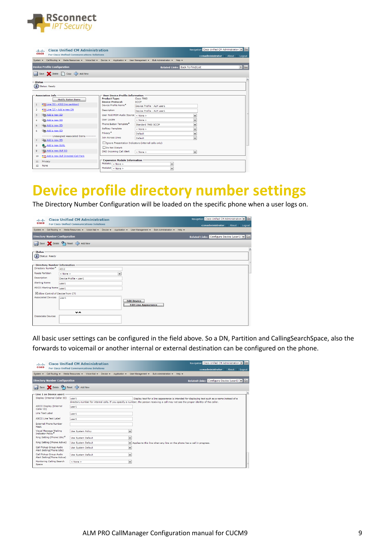

| abab.<br><b>CISCO</b>                                           | <b>Cisco Unified CM Administration</b><br><b>For Cisco Unified Communications Solutions</b>                                                                                                     |                                                                                                                                                                                                                                                  |                                                                                                                                         |                                         | Navigation Cisco Unified CM Administration v Go |                    |
|-----------------------------------------------------------------|-------------------------------------------------------------------------------------------------------------------------------------------------------------------------------------------------|--------------------------------------------------------------------------------------------------------------------------------------------------------------------------------------------------------------------------------------------------|-----------------------------------------------------------------------------------------------------------------------------------------|-----------------------------------------|-------------------------------------------------|--------------------|
| System $-$                                                      | Call Routing - Media Resources - Voice Mail - Device - Application - User Management - Bulk Administration - Help -                                                                             |                                                                                                                                                                                                                                                  |                                                                                                                                         |                                         | ccmadministrator About Logout                   |                    |
|                                                                 | <b>Device Profile Configuration</b>                                                                                                                                                             |                                                                                                                                                                                                                                                  |                                                                                                                                         | <b>Related Links: Back To Find/List</b> |                                                 | $\triangledown$ Go |
|                                                                 | Save & Delete Copy & Add New                                                                                                                                                                    |                                                                                                                                                                                                                                                  |                                                                                                                                         |                                         |                                                 |                    |
| - Status -                                                      | $(i)$ Status: Ready                                                                                                                                                                             |                                                                                                                                                                                                                                                  |                                                                                                                                         |                                         |                                                 |                    |
|                                                                 |                                                                                                                                                                                                 |                                                                                                                                                                                                                                                  |                                                                                                                                         |                                         |                                                 |                    |
| $\mathbf{1}$<br>$\overline{2}$<br>3<br>$\overline{a}$<br>5<br>6 | - Association Info<br><b>Modify Button Items</b><br>etas Line [1] - 4312 (no partition)<br>erns Line [2] - Add a new DN<br>Add a new SD<br>Go Add a new SD<br>Add a new SD<br>Gong Add a new SD | <b>User Device Profile Information</b><br><b>Product Type:</b><br><b>Device Protocol:</b><br>Device Profile Name <sup>*</sup><br>Description<br>User Hold MOH Audio Source < None ><br>User Locale<br>Phone Button Template*<br>Softkey Template | Cisco 7960<br><b>SCCP</b><br>Device Profile - ALM user1<br>Device Profile - ALM user1<br>$<$ None $>$<br>Standard 7960 SCCP<br>< None > | $\checkmark$<br>v<br>v<br>v             |                                                 |                    |
| $\overline{7}$<br>8<br>9                                        | ---------- Unassigned Associated Items ----------<br>Add a new SD<br>Add a new SURL<br>Add a new BLF SD                                                                                         | Privacy <sup>®</sup><br>Join Across Lines<br>Ignore Presentation Indicators (internal calls only)<br>Do Not Disturb<br><b>DND Incoming Call Alert</b>                                                                                            | Default<br>Default<br>$<$ None $>$                                                                                                      | v<br>$\checkmark$<br>$\checkmark$       |                                                 |                    |
| 10<br>11<br>12                                                  | ams Add a new BLF Directed Call Park<br>Privacy<br>None                                                                                                                                         | <b>Expansion Module Information</b><br>Module1 $\leq$ None ><br>Module2 $\frac{1}{5}$ None >                                                                                                                                                     | $\checkmark$<br>$\checkmark$                                                                                                            |                                         |                                                 |                    |

#### **Device profile directory number settings**

The Directory Number Configuration will be loaded on the specific phone when a user logs on.

| abab.<br><b>CISCO</b>     |                                  | <b>Cisco Unified CM Administration</b>                                                 |  |              |                                                   |                       |         | Navigation Cisco Unified CM Administration V G |                 |
|---------------------------|----------------------------------|----------------------------------------------------------------------------------------|--|--------------|---------------------------------------------------|-----------------------|---------|------------------------------------------------|-----------------|
|                           |                                  | <b>For Cisco Unified Communications Solutions</b>                                      |  |              |                                                   |                       |         | ccmadministrator                               | About<br>Logout |
| System $\sim$             |                                  | Call Routing v Media Resources v Voice Mail v Device v Application v User Management v |  |              |                                                   | Bulk Administration - | $Heb -$ |                                                |                 |
|                           |                                  | <b>Directory Number Configuration</b>                                                  |  |              |                                                   |                       |         | Related Links: Configure Device (user1) v Go   |                 |
|                           |                                  | Save Celete Careset Ca Add New                                                         |  |              |                                                   |                       |         |                                                |                 |
| - Status                  |                                  |                                                                                        |  |              |                                                   |                       |         |                                                |                 |
| $(i)$ Status: Ready       |                                  |                                                                                        |  |              |                                                   |                       |         |                                                |                 |
|                           |                                  | - Directory Number Information                                                         |  |              |                                                   |                       |         |                                                |                 |
| Directory Number*         |                                  | 4312                                                                                   |  |              |                                                   |                       |         |                                                |                 |
| <b>Route Partition</b>    |                                  | $<$ None $>$                                                                           |  | $\checkmark$ |                                                   |                       |         |                                                |                 |
| Description               |                                  | Device Profile - user1                                                                 |  |              |                                                   |                       |         |                                                |                 |
| <b>Alerting Name</b>      |                                  | user1                                                                                  |  |              |                                                   |                       |         |                                                |                 |
|                           | <b>ASCII Alerting Name</b> user1 |                                                                                        |  |              |                                                   |                       |         |                                                |                 |
|                           |                                  | Allow Control of Device from CTI                                                       |  |              |                                                   |                       |         |                                                |                 |
| <b>Associated Devices</b> |                                  | user1                                                                                  |  |              |                                                   |                       |         |                                                |                 |
|                           |                                  |                                                                                        |  |              | <b>Edit Device</b><br><b>Edit Line Appearance</b> |                       |         |                                                |                 |
|                           |                                  |                                                                                        |  |              |                                                   |                       |         |                                                |                 |
|                           |                                  | ッヘ                                                                                     |  |              |                                                   |                       |         |                                                |                 |
| <b>Dissociate Devices</b> |                                  |                                                                                        |  |              |                                                   |                       |         |                                                |                 |
|                           |                                  |                                                                                        |  |              |                                                   |                       |         |                                                |                 |
|                           |                                  |                                                                                        |  |              |                                                   |                       |         |                                                |                 |

All basic user settings can be configured in the field above. So a DN, Partition and CallingSearchSpace, also the forwards to voicemail or another internal or external destination can be configured on the phone.

| abab.                                                                             |                                                        | <b>Cisco Unified CM Administration</b>            |                             |              |                                       |                       |                       | Navigation Cisco Unified CM Administration v Go                                                                                                                                                                                            |        |
|-----------------------------------------------------------------------------------|--------------------------------------------------------|---------------------------------------------------|-----------------------------|--------------|---------------------------------------|-----------------------|-----------------------|--------------------------------------------------------------------------------------------------------------------------------------------------------------------------------------------------------------------------------------------|--------|
| <b>CISCO</b>                                                                      |                                                        | <b>Eor Cisco Unified Communications Solutions</b> |                             |              |                                       |                       |                       | ccmadministrator<br>About                                                                                                                                                                                                                  | Logout |
| System $\sim$                                                                     | Call Routing                                           | Media Resources - Voice Mail -                    | Application -<br>Device $-$ |              | User Management $\blacktriangleright$ | Bulk Administration - | $He$ lp $\rightarrow$ |                                                                                                                                                                                                                                            |        |
|                                                                                   | <b>Directory Number Configuration</b>                  |                                                   |                             |              |                                       |                       |                       | Related Links: Configure Device (user1) v Go                                                                                                                                                                                               |        |
|                                                                                   |                                                        | Save Chelete Changeset Ep Add New                 |                             |              |                                       |                       |                       |                                                                                                                                                                                                                                            |        |
|                                                                                   | Line 1 on Device user1                                 |                                                   |                             |              |                                       |                       |                       |                                                                                                                                                                                                                                            | $\sim$ |
|                                                                                   | Display (Internal Caller ID)                           | user1                                             |                             |              |                                       |                       |                       | Display text for a line appearance is intended for displaying text such as a name instead of a<br>directory number for internal calls. If you specify a number, the person receiving a call may not see the proper identity of the caller. |        |
| Caller ID)                                                                        | <b>ASCII Display (Internal</b>                         | user1                                             |                             |              |                                       |                       |                       |                                                                                                                                                                                                                                            |        |
| Line Text Label                                                                   |                                                        | user1                                             |                             |              |                                       |                       |                       |                                                                                                                                                                                                                                            |        |
|                                                                                   | <b>ASCII Line Text Label</b>                           | user1                                             |                             |              |                                       |                       |                       |                                                                                                                                                                                                                                            |        |
| Mask                                                                              | <b>External Phone Number</b>                           |                                                   |                             |              |                                       |                       |                       |                                                                                                                                                                                                                                            |        |
|                                                                                   | Visual Message Waiting<br><b>Indicator Policy*</b>     | <b>Use System Policy</b>                          |                             | $\checkmark$ |                                       |                       |                       |                                                                                                                                                                                                                                            |        |
|                                                                                   | Ring Setting (Phone Idle)*                             | <b>Use System Default</b>                         |                             | $\checkmark$ |                                       |                       |                       |                                                                                                                                                                                                                                            |        |
|                                                                                   | Ring Setting (Phone Active)                            | <b>Use System Default</b>                         |                             | $\checkmark$ |                                       |                       |                       | Applies to this line when any line on the phone has a call in progress.                                                                                                                                                                    |        |
| Call Pickup Group Audio<br><b>Use System Default</b><br>Alert Setting(Phone Idle) |                                                        |                                                   |                             |              | $\checkmark$                          |                       |                       |                                                                                                                                                                                                                                            |        |
|                                                                                   | Call Pickup Group Audio<br>Alert Setting(Phone Active) | <b>Use System Default</b>                         |                             | $\checkmark$ |                                       |                       |                       |                                                                                                                                                                                                                                            |        |
| Space                                                                             | Monitoring Calling Search                              | $<$ None $>$                                      |                             | $\checkmark$ |                                       |                       |                       |                                                                                                                                                                                                                                            |        |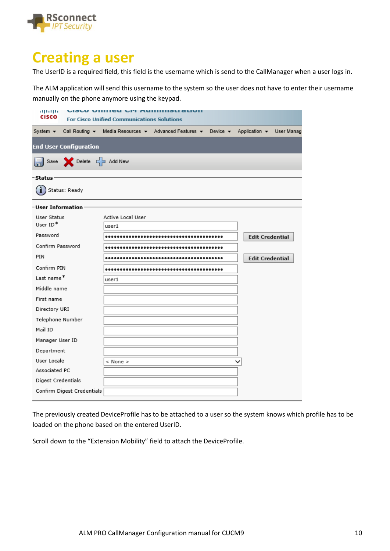

#### **Creating a user**

The UserID is a required field, this field is the username which is send to the CallManager when a user logs in.

The ALM application will send this username to the system so the user does not have to enter their username manually on the phone anymore using the keypad.

| ороро<br><b>CISCO</b>                               | <b>For Cisco Unified Communications Solutions</b>                                                           |                                                |  |  |
|-----------------------------------------------------|-------------------------------------------------------------------------------------------------------------|------------------------------------------------|--|--|
| System $\star$<br>Call Routing $\blacktriangledown$ | Media Resources $\blacktriangledown$ Advanced Features $\blacktriangledown$<br>Device $\blacktriangleright$ | Application $\blacktriangledown$<br>User Manag |  |  |
| <b>End User Configuration</b>                       |                                                                                                             |                                                |  |  |
| Save > Delete C Add New                             |                                                                                                             |                                                |  |  |
| - Status <sup>.</sup>                               |                                                                                                             |                                                |  |  |
| Status: Ready                                       |                                                                                                             |                                                |  |  |
| -User Information <sup>.</sup>                      |                                                                                                             |                                                |  |  |
| User Status                                         | Active Local User                                                                                           |                                                |  |  |
| User ID*                                            | user1                                                                                                       |                                                |  |  |
| Password                                            |                                                                                                             | <b>Edit Credential</b>                         |  |  |
| Confirm Password                                    |                                                                                                             |                                                |  |  |
| PIN                                                 |                                                                                                             | <b>Edit Credential</b>                         |  |  |
| Confirm PIN                                         |                                                                                                             |                                                |  |  |
| Last name*                                          | user1                                                                                                       |                                                |  |  |
| Middle name                                         |                                                                                                             |                                                |  |  |
| First name                                          |                                                                                                             |                                                |  |  |
| Directory URI                                       |                                                                                                             |                                                |  |  |
| Telephone Number                                    |                                                                                                             |                                                |  |  |
| Mail ID                                             |                                                                                                             |                                                |  |  |
| Manager User ID                                     |                                                                                                             |                                                |  |  |
| Department                                          |                                                                                                             |                                                |  |  |
| User Locale                                         | < None >                                                                                                    |                                                |  |  |
| Associated PC                                       |                                                                                                             |                                                |  |  |
| Digest Credentials                                  |                                                                                                             |                                                |  |  |
| Confirm Digest Credentials                          |                                                                                                             |                                                |  |  |

The previously created DeviceProfile has to be attached to a user so the system knows which profile has to be loaded on the phone based on the entered UserID.

Scroll down to the "Extension Mobility" field to attach the DeviceProfile.